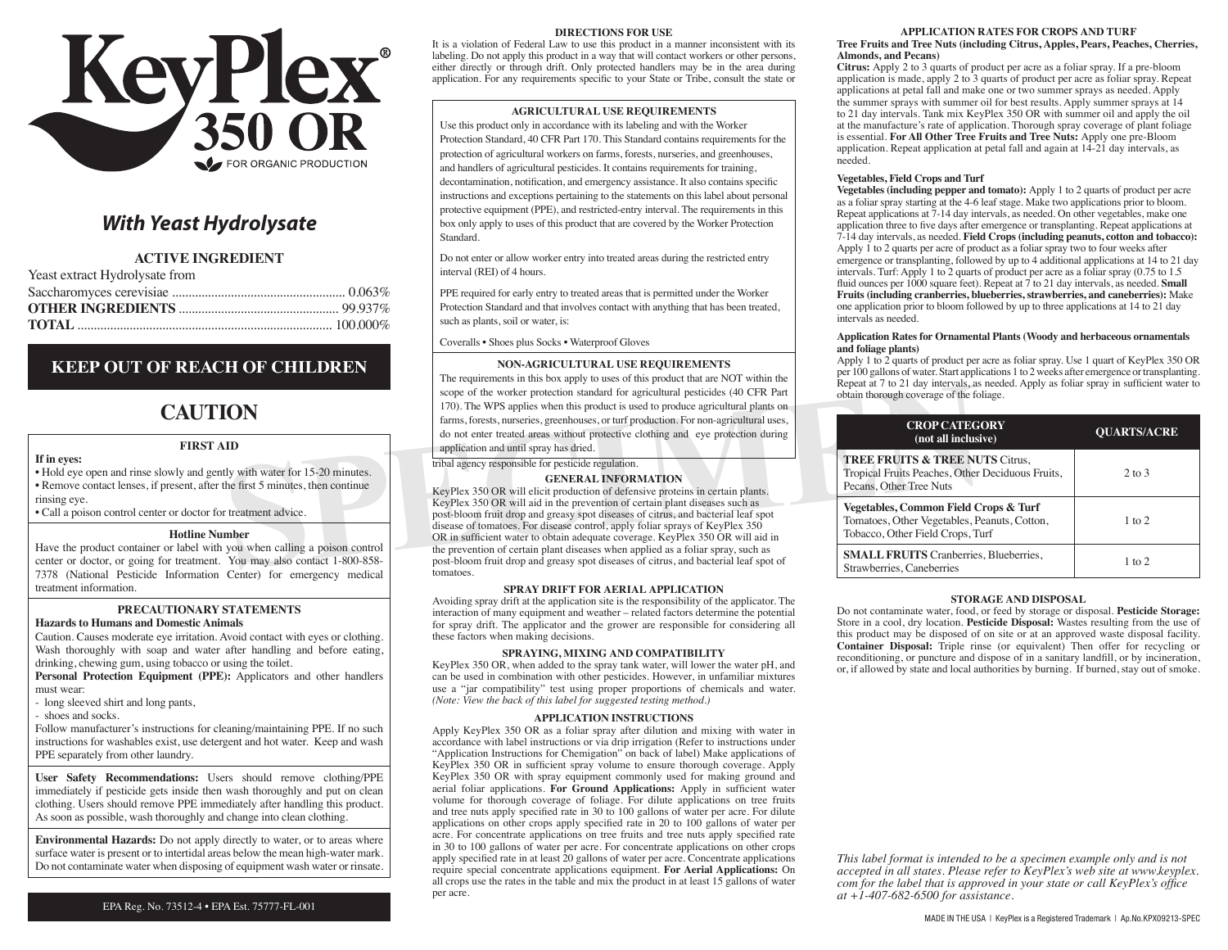

# *With Yeast Hydrolysate*

# **ACTIVE INGREDIENT**

| Yeast extract Hydrolysate from |  |
|--------------------------------|--|
|--------------------------------|--|

# **KEEP OUT OF REACH OF CHILDREN**

# **CAUTION**

### **FIRST AID**

#### **If in eyes:**

• Hold eye open and rinse slowly and gently with water for 15-20 minutes. • Remove contact lenses, if present, after the first 5 minutes, then continue rinsing eye.

• Call a poison control center or doctor for treatment advice.

#### **Hotline Number**

Have the product container or label with you when calling a poison control center or doctor, or going for treatment. You may also contact 1-800-858- 7378 (National Pesticide Information Center) for emergency medical treatment information.

# **PRECAUTIONARY STATEMENTS**

**Hazards to Humans and Domestic Animals** 

Caution. Causes moderate eye irritation. Avoid contact with eyes or clothing. Wash thoroughly with soap and water after handling and before eating, drinking, chewing gum, using tobacco or using the toilet.

**Personal Protection Equipment (PPE):** Applicators and other handlers must wear:

- long sleeved shirt and long pants,

- shoes and socks.

Follow manufacturer's instructions for cleaning/maintaining PPE. If no such instructions for washables exist, use detergent and hot water. Keep and wash PPE separately from other laundry.

**User Safety Recommendations:** Users should remove clothing/PPE immediately if pesticide gets inside then wash thoroughly and put on clean clothing. Users should remove PPE immediately after handling this product. As soon as possible, wash thoroughly and change into clean clothing.

**Environmental Hazards:** Do not apply directly to water, or to areas where surface water is present or to intertidal areas below the mean high-water mark. Do not contaminate water when disposing of equipment wash water or rinsate.

#### **DIRECTIONS FOR USE**

It is a violation of Federal Law to use this product in a manner inconsistent with its labeling. Do not apply this product in a way that will contact workers or other persons, either directly or through drift. Only protected handlers may be in the area during application. For any requirements specific to your State or Tribe, consult the state or

#### **AGRICULTURAL USE REQUIREMENTS**

Use this product only in accordance with its labeling and with the Worker Protection Standard, 40 CFR Part 170. This Standard contains requirements for the protection of agricultural workers on farms, forests, nurseries, and greenhouses, and handlers of agricultural pesticides. It contains requirements for training, decontamination, notification, and emergency assistance. It also contains specific instructions and exceptions pertaining to the statements on this label about personal protective equipment (PPE), and restricted-entry interval. The requirements in this box only apply to uses of this product that are covered by the Worker Protection Standard.

Do not enter or allow worker entry into treated areas during the restricted entry interval (REI) of 4 hours.

PPE required for early entry to treated areas that is permitted under the Worker Protection Standard and that involves contact with anything that has been treated, such as plants, soil or water, is:

Coveralls • Shoes plus Socks • Waterproof Gloves

#### **NON-AGRICULTURAL USE REQUIREMENTS**

The requirements in this box apply to uses of this product that are NOT within the scope of the worker protection standard for agricultural pesticides (40 CFR Part 170). The WPS applies when this product is used to produce agricultural plants on farms, forests, nurseries, greenhouses, or turf production. For non-agricultural uses, do not enter treated areas without protective clothing and eye protection during application and until spray has dried.

tribal agency responsible for pesticide regulation.

#### **GENERAL INFORMATION**

**SPECT AND THE SECTION THE SECTION THE SECTION CONSIST THE SECTION TRIGGER (A) CFR Part of the method in the specification and that is problem in the specific detail and experimentally and the problem in the specific detai** KeyPlex 350 OR will elicit production of defensive proteins in certain plants. KeyPlex 350 OR will aid in the prevention of certain plant diseases such as post-bloom fruit drop and greasy spot diseases of citrus, and bacterial leaf spot disease of tomatoes. For disease control, apply foliar sprays of KeyPlex 350 OR in sufficient water to obtain adequate coverage. KeyPlex 350 OR will aid in the prevention of certain plant diseases when applied as a foliar spray, such as post-bloom fruit drop and greasy spot diseases of citrus, and bacterial leaf spot of tomatoes.

#### **SPRAY DRIFT FOR AERIAL APPLICATION**

Avoiding spray drift at the application site is the responsibility of the applicator. The interaction of many equipment and weather – related factors determine the potential for spray drift. The applicator and the grower are responsible for considering all these factors when making decisions.

#### **SPRAYING, MIXING AND COMPATIBILITY**

KeyPlex 350 OR, when added to the spray tank water, will lower the water pH, and can be used in combination with other pesticides. However, in unfamiliar mixtures use a "jar compatibility" test using proper proportions of chemicals and water. *(Note: View the back of this label for suggested testing method.)*

#### **Application Instructions**

Apply KeyPlex 350 OR as a foliar spray after dilution and mixing with water in accordance with label instructions or via drip irrigation (Refer to instructions under "Application Instructions for Chemigation" on back of label) Make applications of KeyPlex 350 OR in sufficient spray volume to ensure thorough coverage. Apply KeyPlex 350 OR with spray equipment commonly used for making ground and aerial foliar applications. **For Ground Applications:** Apply in sufficient water volume for thorough coverage of foliage. For dilute applications on tree fruits and tree nuts apply specified rate in 30 to 100 gallons of water per acre. For dilute applications on other crops apply specified rate in 20 to 100 gallons of water per acre. For concentrate applications on tree fruits and tree nuts apply specified rate in 30 to 100 gallons of water per acre. For concentrate applications on other crops apply specified rate in at least 20 gallons of water per acre. Concentrate applications require special concentrate applications equipment. **For Aerial Applications:** On all crops use the rates in the table and mix the product in at least 15 gallons of water per acre.

#### **APPLICATION RATES FOR CROPS AND TURF**

#### **Tree Fruits and Tree Nuts (including Citrus, Apples, Pears, Peaches, Cherries, Almonds, and Pecans)**

**Citrus:** Apply 2 to 3 quarts of product per acre as a foliar spray. If a pre-bloom application is made, apply 2 to 3 quarts of product per acre as foliar spray. Repeat applications at petal fall and make one or two summer sprays as needed. Apply the summer sprays with summer oil for best results. Apply summer sprays at 14 to 21 day intervals. Tank mix KeyPlex 350 OR with summer oil and apply the oil at the manufacture's rate of application. Thorough spray coverage of plant foliage is essential. **For All Other Tree Fruits and Tree Nuts:** Apply one pre-Bloom application. Repeat application at petal fall and again at 14-21 day intervals, as needed.

#### **Vegetables, Field Crops and Turf**

**Vegetables (including pepper and tomato):** Apply 1 to 2 quarts of product per acre as a foliar spray starting at the 4-6 leaf stage. Make two applications prior to bloom. Repeat applications at 7-14 day intervals, as needed. On other vegetables, make one application three to five days after emergence or transplanting. Repeat applications at 7-14 day intervals, as needed. **Field Crops (including peanuts, cotton and tobacco):**  Apply 1 to 2 quarts per acre of product as a foliar spray two to four weeks after emergence or transplanting, followed by up to 4 additional applications at 14 to 21 day intervals. Turf: Apply 1 to 2 quarts of product per acre as a foliar spray (0.75 to 1.5 fluid ounces per 1000 square feet). Repeat at 7 to 21 day intervals, as needed. **Small Fruits (including cranberries, blueberries, strawberries, and caneberries):** Make one application prior to bloom followed by up to three applications at 14 to 21 day intervals as needed.

#### **Application Rates for Ornamental Plants (Woody and herbaceous ornamentals and foliage plants)**

Apply 1 to 2 quarts of product per acre as foliar spray. Use 1 quart of KeyPlex 350 OR per 100 gallons of water. Start applications 1 to 2 weeks after emergence or transplanting. Repeat at 7 to 21 day intervals, as needed. Apply as foliar spray in sufficient water to obtain thorough coverage of the foliage.

| <b>CROP CATEGORY</b><br>(not all inclusive)                                                                               | <b>OUARTS/ACRE</b> |
|---------------------------------------------------------------------------------------------------------------------------|--------------------|
| <b>TREE FRUITS &amp; TREE NUTS Citrus,</b><br>Tropical Fruits Peaches, Other Deciduous Fruits,<br>Pecans, Other Tree Nuts | $2$ to $3$         |
| Vegetables, Common Field Crops & Turf<br>Tomatoes, Other Vegetables, Peanuts, Cotton,<br>Tobacco, Other Field Crops, Turf | $1$ to $2$         |
| <b>SMALL FRUITS</b> Cranberries, Blueberries,<br>Strawberries, Caneberries                                                | $1$ to $2$         |

#### **STORAGE AND DISPOSAL**

Do not contaminate water, food, or feed by storage or disposal. **Pesticide Storage:**  Store in a cool, dry location. **Pesticide Disposal:** Wastes resulting from the use of this product may be disposed of on site or at an approved waste disposal facility. **Container Disposal:** Triple rinse (or equivalent) Then offer for recycling or reconditioning, or puncture and dispose of in a sanitary landfill, or by incineration, or, if allowed by state and local authorities by burning. If burned, stay out of smoke.

*This label format is intended to be a specimen example only and is not accepted in all states. Please refer to KeyPlex's web site at www.keyplex. com for the label that is approved in your state or call KeyPlex's office at +1-407-682-6500 for assistance.*